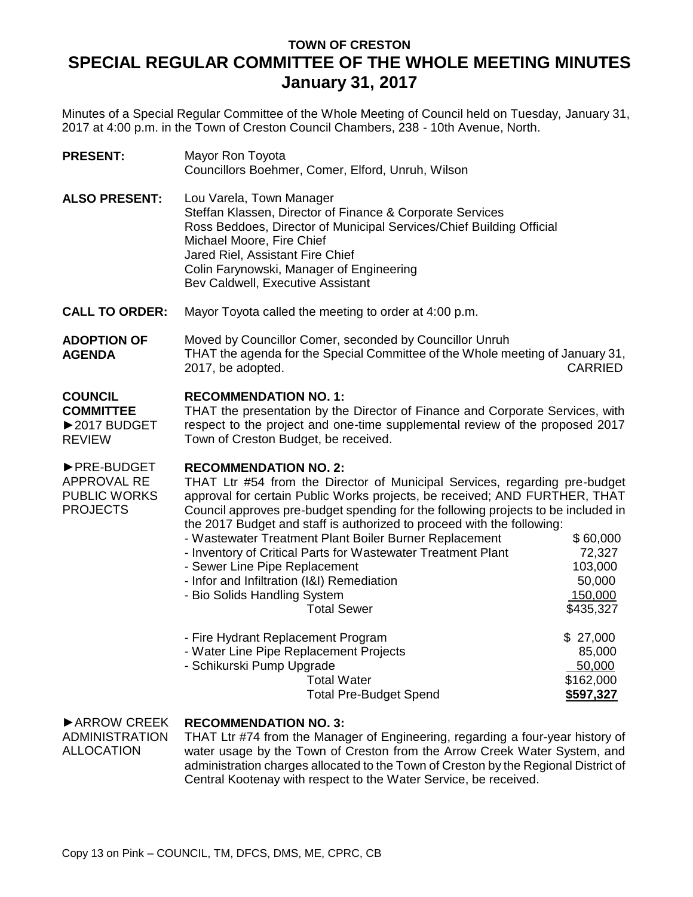## **TOWN OF CRESTON SPECIAL REGULAR COMMITTEE OF THE WHOLE MEETING MINUTES January 31, 2017**

Minutes of a Special Regular Committee of the Whole Meeting of Council held on Tuesday, January 31, 2017 at 4:00 p.m. in the Town of Creston Council Chambers, 238 - 10th Avenue, North.

| <b>PRESENT:</b>                                                     | Mayor Ron Toyota<br>Councillors Boehmer, Comer, Elford, Unruh, Wilson                                                                                                                                                                                                                                                                                                                                                                                                                                                                                                                                                                                                                                  |                                                                                       |
|---------------------------------------------------------------------|--------------------------------------------------------------------------------------------------------------------------------------------------------------------------------------------------------------------------------------------------------------------------------------------------------------------------------------------------------------------------------------------------------------------------------------------------------------------------------------------------------------------------------------------------------------------------------------------------------------------------------------------------------------------------------------------------------|---------------------------------------------------------------------------------------|
| <b>ALSO PRESENT:</b>                                                | Lou Varela, Town Manager<br>Steffan Klassen, Director of Finance & Corporate Services<br>Ross Beddoes, Director of Municipal Services/Chief Building Official<br>Michael Moore, Fire Chief<br>Jared Riel, Assistant Fire Chief<br>Colin Farynowski, Manager of Engineering<br>Bev Caldwell, Executive Assistant                                                                                                                                                                                                                                                                                                                                                                                        |                                                                                       |
| <b>CALL TO ORDER:</b>                                               | Mayor Toyota called the meeting to order at 4:00 p.m.                                                                                                                                                                                                                                                                                                                                                                                                                                                                                                                                                                                                                                                  |                                                                                       |
| <b>ADOPTION OF</b><br><b>AGENDA</b>                                 | Moved by Councillor Comer, seconded by Councillor Unruh<br>THAT the agenda for the Special Committee of the Whole meeting of January 31,<br>2017, be adopted.<br><b>CARRIED</b>                                                                                                                                                                                                                                                                                                                                                                                                                                                                                                                        |                                                                                       |
| <b>COUNCIL</b><br><b>COMMITTEE</b><br>▶2017 BUDGET<br><b>REVIEW</b> | <b>RECOMMENDATION NO. 1:</b><br>THAT the presentation by the Director of Finance and Corporate Services, with<br>respect to the project and one-time supplemental review of the proposed 2017<br>Town of Creston Budget, be received.                                                                                                                                                                                                                                                                                                                                                                                                                                                                  |                                                                                       |
| ▶ PRE-BUDGET<br>APPROVAL RE<br>PUBLIC WORKS<br><b>PROJECTS</b>      | <b>RECOMMENDATION NO. 2:</b><br>THAT Ltr #54 from the Director of Municipal Services, regarding pre-budget<br>approval for certain Public Works projects, be received; AND FURTHER, THAT<br>Council approves pre-budget spending for the following projects to be included in<br>the 2017 Budget and staff is authorized to proceed with the following:<br>- Wastewater Treatment Plant Boiler Burner Replacement<br>- Inventory of Critical Parts for Wastewater Treatment Plant<br>- Sewer Line Pipe Replacement<br>- Infor and Infiltration (I&I) Remediation<br>- Bio Solids Handling System<br><b>Total Sewer</b><br>- Fire Hydrant Replacement Program<br>- Water Line Pipe Replacement Projects | \$60,000<br>72,327<br>103,000<br>50,000<br>150,000<br>\$435,327<br>\$27,000<br>85,000 |
|                                                                     | - Schikurski Pump Upgrade<br><b>Total Water</b>                                                                                                                                                                                                                                                                                                                                                                                                                                                                                                                                                                                                                                                        | 50,000<br>\$162,000                                                                   |

## ►ARROW CREEK **RECOMMENDATION NO. 3:**

ADMINISTRATION ALLOCATION

THAT Ltr #74 from the Manager of Engineering, regarding a four-year history of water usage by the Town of Creston from the Arrow Creek Water System, and administration charges allocated to the Town of Creston by the Regional District of Central Kootenay with respect to the Water Service, be received.

Total Pre-Budget Spend **\$597,327**